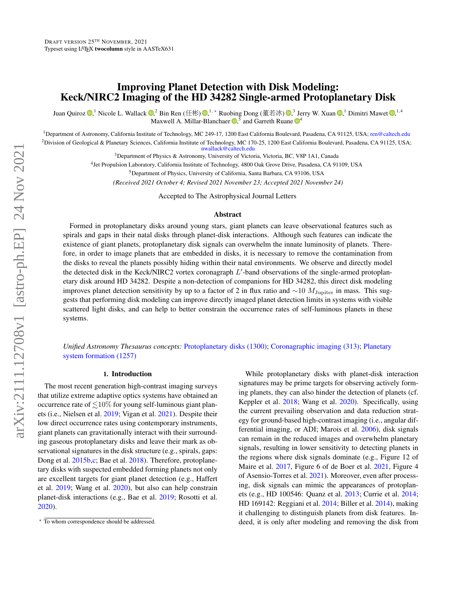# Improving Planet Detection with Disk Modeling: Keck/NIRC2 Imaging of the HD 34282 Single-armed Protoplanetary Disk

Juan Quiroz  $\mathbb{D}$  $\mathbb{D}$  $\mathbb{D}$ [,](http://orcid.org/0000-0002-6618-1137)<sup>1</sup> Nicole L. Wallac[k](http://orcid.org/0000-0003-0354-0187)  $\mathbb{D}$ ,<sup>2</sup> Bin Ren (任彬[\)](http://orcid.org/0000-0001-9290-7846)  $\mathbb{D}$ ,<sup>1, \*</sup> Ruobing Dong (董若冰)  $\mathbb{D}$ ,<sup>3</sup> Jerry W. Xuan  $\mathbb{D}$ ,<sup>1</sup> Dimitri Mawet  $\mathbb{D}$ ,<sup>1,4</sup><br>Maxwell A Millar-Rlanchaer  $\mathbb{D}$ ,<sup>5</sup> and Gar Maxwell A. Milla[r](http://orcid.org/0000-0001-6205-9233)-Blancha[e](http://orcid.org/0000-0003-4769-1665)r  $\mathbf{D}$ , and Garreth Ruane  $\mathbf{D}^4$ 

<sup>1</sup>Department of Astronomy, California Institute of Technology, MC 249-17, 1200 East California Boulevard, Pasadena, CA 91125, USA; <ren@caltech.edu> <sup>2</sup>Division of Geological & Planetary Sciences, California Institute of Technology, MC 170-25, 1200 East California Boulevard, Pasadena, CA 91125, USA; <nwallack@caltech.edu>

<sup>3</sup>Department of Physics & Astronomy, University of Victoria, Victoria, BC, V8P 1A1, Canada

4 Jet Propulsion Laboratory, California Institute of Technology, 4800 Oak Grove Drive, Pasadena, CA 91109, USA

<sup>5</sup>Department of Physics, University of California, Santa Barbara, CA 93106, USA

*(Received 2021 October 4; Revised 2021 November 23; Accepted 2021 November 24)*

Accepted to The Astrophysical Journal Letters

### Abstract

Formed in protoplanetary disks around young stars, giant planets can leave observational features such as spirals and gaps in their natal disks through planet-disk interactions. Although such features can indicate the existence of giant planets, protoplanetary disk signals can overwhelm the innate luminosity of planets. Therefore, in order to image planets that are embedded in disks, it is necessary to remove the contamination from the disks to reveal the planets possibly hiding within their natal environments. We observe and directly model the detected disk in the Keck/NIRC2 vortex coronagraph  $L'$ -band observations of the single-armed protoplanetary disk around HD 34282. Despite a non-detection of companions for HD 34282, this direct disk modeling improves planet detection sensitivity by up to a factor of 2 in flux ratio and  $\sim$ 10  $M_{\text{Jupiter}}$  in mass. This suggests that performing disk modeling can improve directly imaged planet detection limits in systems with visible scattered light disks, and can help to better constrain the occurrence rates of self-luminous planets in these systems.

*Unified Astronomy Thesaurus concepts:* [Protoplanetary disks \(1300\);](http://vocabs.ands.org.au/repository/api/lda/aas/the-unified-astronomy-thesaurus/current/resource.html?uri=http://astrothesaurus.org/uat/1300) [Coronagraphic imaging \(313\);](http://vocabs.ands.org.au/repository/api/lda/aas/the-unified-astronomy-thesaurus/current/resource.html?uri=http://astrothesaurus.org/uat/313) [Planetary](http://vocabs.ands.org.au/repository/api/lda/aas/the-unified-astronomy-thesaurus/current/resource.html?uri=http://astrothesaurus.org/uat/1257) [system formation \(1257\)](http://vocabs.ands.org.au/repository/api/lda/aas/the-unified-astronomy-thesaurus/current/resource.html?uri=http://astrothesaurus.org/uat/1257)

## 1. Introduction

The most recent generation high-contrast imaging surveys that utilize extreme adaptive optics systems have obtained an occurrence rate of  $\leq 10\%$  for young self-luminous giant planets (i.e., Nielsen et al. [2019;](#page-6-0) Vigan et al. [2021\)](#page-6-1). Despite their low direct occurrence rates using contemporary instruments, giant planets can gravitationally interact with their surrounding gaseous protoplanetary disks and leave their mark as observational signatures in the disk structure (e.g., spirals, gaps: Dong et al. [2015b,](#page-6-2)[c;](#page-6-3) Bae et al. [2018\)](#page-6-4). Therefore, protoplanetary disks with suspected embedded forming planets not only are excellent targets for giant planet detection (e.g., Haffert et al. [2019;](#page-6-5) Wang et al. [2020\)](#page-6-6), but also can help constrain planet-disk interactions (e.g., Bae et al. [2019;](#page-6-7) Rosotti et al. [2020\)](#page-6-8).

While protoplanetary disks with planet-disk interaction signatures may be prime targets for observing actively forming planets, they can also hinder the detection of planets (cf. Keppler et al. [2018;](#page-6-9) Wang et al. [2020\)](#page-6-6). Specifically, using the current prevailing observation and data reduction strategy for ground-based high-contrast imaging (i.e., angular differential imaging, or ADI; Marois et al. [2006\)](#page-6-10), disk signals can remain in the reduced images and overwhelm planetary signals, resulting in lower sensitivity to detecting planets in the regions where disk signals dominate (e.g., Figure 12 of Maire et al. [2017,](#page-6-11) Figure 6 of de Boer et al. [2021,](#page-6-12) Figure 4 of Asensio-Torres et al. [2021\)](#page-6-13). Moreover, even after processing, disk signals can mimic the appearances of protoplanets (e.g., HD 100546: Quanz et al. [2013;](#page-6-14) Currie et al. [2014;](#page-6-15) HD 169142: Reggiani et al. [2014;](#page-6-16) Biller et al. [2014\)](#page-6-17), making it challenging to distinguish planets from disk features. Indeed, it is only after modeling and removing the disk from

<span id="page-0-0"></span><sup>∗</sup> To whom correspondence should be addressed.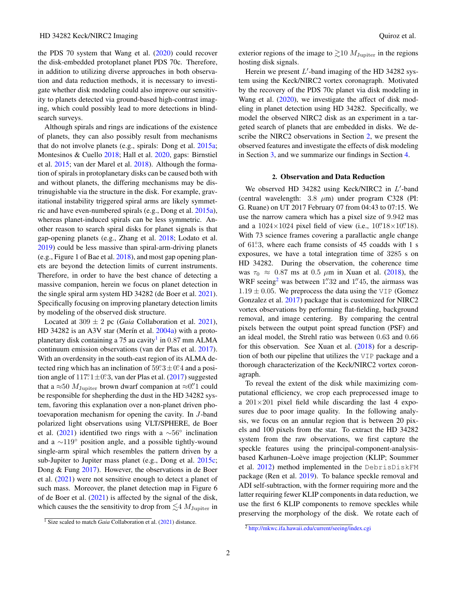the PDS 70 system that Wang et al. [\(2020\)](#page-6-6) could recover the disk-embedded protoplanet planet PDS 70c. Therefore, in addition to utilizing diverse approaches in both observation and data reduction methods, it is necessary to investigate whether disk modeling could also improve our sensitivity to planets detected via ground-based high-contrast imaging, which could possibly lead to more detections in blindsearch surveys.

Although spirals and rings are indications of the existence of planets, they can also possibly result from mechanisms that do not involve planets (e.g., spirals: Dong et al. [2015a;](#page-6-18) Montesinos & Cuello [2018;](#page-6-19) Hall et al. [2020,](#page-6-20) gaps: Birnstiel et al. [2015;](#page-6-21) van der Marel et al. [2018\)](#page-6-22). Although the formation of spirals in protoplanetary disks can be caused both with and without planets, the differing mechanisms may be distrinugishable via the structure in the disk. For example, gravitational instability triggered spiral arms are likely symmetric and have even-numbered spirals (e.g., Dong et al. [2015a\)](#page-6-18), whereas planet-induced spirals can be less symmetric. Another reason to search spiral disks for planet signals is that gap-opening planets (e.g., Zhang et al. [2018;](#page-6-23) Lodato et al. [2019\)](#page-6-24) could be less massive than spiral-arm-driving planets (e.g., Figure 1 of Bae et al. [2018\)](#page-6-4), and most gap opening planets are beyond the detection limits of current instruments. Therefore, in order to have the best chance of detecting a massive companion, herein we focus on planet detection in the single spiral arm system HD 34282 (de Boer et al. [2021\)](#page-6-12). Specifically focusing on improving planetary detection limits by modeling of the observed disk structure.

Located at  $309 \pm 2$  pc (*Gaia* Collaboration et al. [2021\)](#page-6-25), HD 34282 is an A3V star (Merin et al.  $2004a$ ) with a proto-planetary disk containing a 75 au cavity<sup>[1](#page-1-0)</sup> in 0.87 mm ALMA continuum emission observations (van der Plas et al. [2017\)](#page-6-27). With an overdensity in the south-east region of its ALMA detected ring which has an inclination of  $59^\circ 3 \pm 0^\circ 4$  and a position angle of  $117^\circ \cdot 1 \pm 0^\circ \cdot 3$ , van der Plas et al. [\(2017\)](#page-6-27) suggested that a  $\approx$  50  $M_{\text{Jupiter}}$  brown dwarf companion at  $\approx$ 0. <sup>7</sup> could be responsible for shepherding the dust in the HD 34282 system, favoring this explanation over a non-planet driven photoevaporation mechanism for opening the cavity. In J-band polarized light observations using VLT/SPHERE, de Boer et al. [\(2021\)](#page-6-12) identified two rings with a  $\sim 56^\circ$  inclination and a ∼119◦ position angle, and a possible tightly-wound single-arm spiral which resembles the pattern driven by a sub-Jupiter to Jupiter mass planet (e.g., Dong et al. [2015c;](#page-6-3) Dong & Fung [2017\)](#page-6-28). However, the observations in de Boer et al. [\(2021\)](#page-6-12) were not sensitive enough to detect a planet of such mass. Moreover, the planet detection map in Figure 6 of de Boer et al. [\(2021\)](#page-6-12) is affected by the signal of the disk, which causes the the sensitivity to drop from  $\lesssim$  4  $M_{\rm Jupiter}$  in exterior regions of the image to  $\gtrsim$  10  $M_{\text{Jupiter}}$  in the regions hosting disk signals.

Herein we present  $L'$ -band imaging of the HD 34282 system using the Keck/NIRC2 vortex coronagraph. Motivated by the recovery of the PDS 70c planet via disk modeling in Wang et al. [\(2020\)](#page-6-6), we investigate the affect of disk modeling in planet detection using HD 34282. Specifically, we model the observed NIRC2 disk as an experiment in a targeted search of planets that are embedded in disks. We describe the NIRC2 observations in Section [2,](#page-1-1) we present the observed features and investigate the effects of disk modeling in Section [3,](#page-2-0) and we summarize our findings in Section [4.](#page-4-0)

### 2. Observation and Data Reduction

<span id="page-1-1"></span>We observed HD 34282 using Keck/NIRC2 in  $L'$ -band (central wavelength:  $3.8 \mu m$ ) under program C328 (PI: G. Ruane) on UT 2017 February 07 from 04:43 to 07:15. We use the narrow camera which has a pixel size of 9.942 mas and a  $1024 \times 1024$  pixel field of view (i.e.,  $10''.18 \times 10''.18$ ). With 73 science frames covering a parallactic angle change of 61°<sub>3</sub>, where each frame consists of 45 coadds with 1 s exposures, we have a total integration time of 3285 s on HD 34282. During the observation, the coherence time was  $\tau_0 \approx 0.87$  ms at 0.5  $\mu$ m in Xuan et al. [\(2018\)](#page-6-29), the WRF seeing<sup>[2](#page-1-2)</sup> was between  $1\rlap{.}^{\prime\prime}32$  and  $1\rlap{.}^{\prime\prime}45$ , the airmass was  $1.19 \pm 0.05$ . We preprocess the data using the VIP (Gomez Gonzalez et al. [2017\)](#page-6-30) package that is customized for NIRC2 vortex observations by performing flat-fielding, background removal, and image centering. By comparing the central pixels between the output point spread function (PSF) and an ideal model, the Strehl ratio was between 0.63 and 0.66 for this observation. See Xuan et al. [\(2018\)](#page-6-29) for a description of both our pipeline that utilizes the VIP package and a thorough characterization of the Keck/NIRC2 vortex coronagraph.

To reveal the extent of the disk while maximizing computational efficiency, we crop each preprocessed image to a  $201 \times 201$  pixel field while discarding the last 4 exposures due to poor image quality. In the following analysis, we focus on an annular region that is between 20 pixels and 100 pixels from the star. To extract the HD 34282 system from the raw observations, we first capture the speckle features using the principal-component-analysisbased Karhunen–Loève image projection (KLIP; Soummer et al. [2012\)](#page-6-31) method implemented in the DebrisDiskFM package (Ren et al. [2019\)](#page-6-32). To balance speckle removal and ADI self-subtraction, with the former requiring more and the latter requiring fewer KLIP components in data reduction, we use the first 6 KLIP components to remove speckles while preserving the morphology of the disk. We rotate each of

<span id="page-1-0"></span><sup>&</sup>lt;sup>1</sup> Size scaled to match *Gaia* Collaboration et al. [\(2021\)](#page-6-25) distance.

<span id="page-1-2"></span><sup>2</sup> <http://mkwc.ifa.hawaii.edu/current/seeing/index.cgi>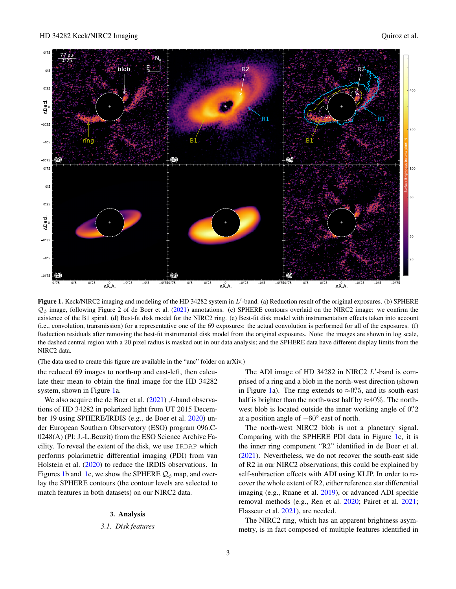

<span id="page-2-1"></span>Figure 1. Keck/NIRC2 imaging and modeling of the HD 34282 system in  $L'$ -band. (a) Reduction result of the original exposures. (b) SPHERE  $Q_{\phi}$  image, following Figure 2 of de Boer et al. [\(2021\)](#page-6-12) annotations. (c) SPHERE contours overlaid on the NIRC2 image: we confirm the existence of the B1 spiral. (d) Best-fit disk model for the NIRC2 ring. (e) Best-fit disk model with instrumentation effects taken into account (i.e., convolution, transmission) for a representative one of the 69 exposures: the actual convolution is performed for all of the exposures. (f) Reduction residuals after removing the best-fit instrumental disk model from the original exposures. Note: the images are shown in log scale, the dashed central region with a 20 pixel radius is masked out in our data analysis; and the SPHERE data have different display limits from the NIRC2 data.

(The data used to create this figure are available in the "anc" folder on arXiv.)

the reduced 69 images to north-up and east-left, then calculate their mean to obtain the final image for the HD 34282 system, shown in Figure [1a](#page-2-1).

We also acquire the de Boer et al.  $(2021)$  J-band observations of HD 34282 in polarized light from UT 2015 December 19 using SPHERE/IRDIS (e.g., de Boer et al. [2020\)](#page-6-33) under European Southern Observatory (ESO) program 096.C-0248(A) (PI: J.-L.Beuzit) from the ESO Science Archive Facility. To reveal the extent of the disk, we use IRDAP which performs polarimetric differential imaging (PDI) from van Holstein et al. [\(2020\)](#page-6-34) to reduce the IRDIS observations. In Figures [1b](#page-2-1) and [1c](#page-2-1), we show the SPHERE  $Q_{\phi}$  map, and overlay the SPHERE contours (the contour levels are selected to match features in both datasets) on our NIRC2 data.

## 3. Analysis

# <span id="page-2-0"></span>*3.1. Disk features*

The ADI image of HD 34282 in NIRC2  $L'$ -band is comprised of a ring and a blob in the north-west direction (shown in Figure [1a](#page-2-1)). The ring extends to  $\approx 0$ .  $\frac{7}{5}$ , and its south-east half is brighter than the north-west half by  $\approx 40\%$ . The northwest blob is located outside the inner working angle of  $0\rlap{.}^{\prime\prime}2$ at a position angle of  $-60^\circ$  east of north.

The north-west NIRC2 blob is not a planetary signal. Comparing with the SPHERE PDI data in Figure [1c](#page-2-1), it is the inner ring component "R2" identified in de Boer et al. [\(2021\)](#page-6-12). Nevertheless, we do not recover the south-east side of R2 in our NIRC2 observations; this could be explained by self-subtraction effects with ADI using KLIP. In order to recover the whole extent of R2, either reference star differential imaging (e.g., Ruane et al. [2019\)](#page-6-35), or advanced ADI speckle removal methods (e.g., Ren et al. [2020;](#page-6-36) Pairet et al. [2021;](#page-6-37) Flasseur et al. [2021\)](#page-6-38), are needed.

The NIRC2 ring, which has an apparent brightness asymmetry, is in fact composed of multiple features identified in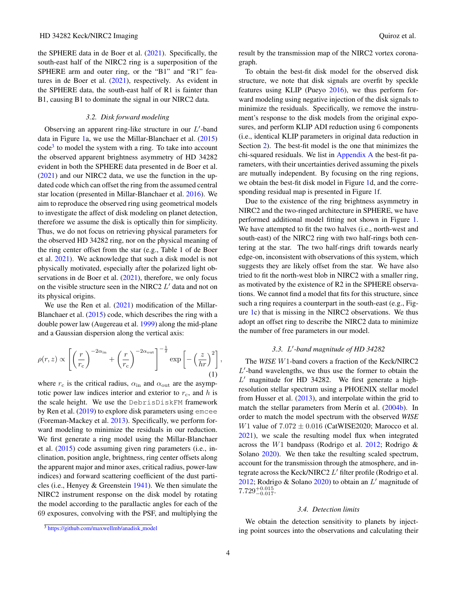the SPHERE data in de Boer et al. [\(2021\)](#page-6-12). Specifically, the south-east half of the NIRC2 ring is a superposition of the SPHERE arm and outer ring, or the "B1" and "R1" features in de Boer et al. [\(2021\)](#page-6-12), respectively. As evident in the SPHERE data, the south-east half of R1 is fainter than B1, causing B1 to dominate the signal in our NIRC2 data.

#### *3.2. Disk forward modeling*

Observing an apparent ring-like structure in our  $L'$ -band data in Figure [1a](#page-2-1), we use the Millar-Blanchaer et al. [\(2015\)](#page-6-39) code<sup>[3](#page-3-0)</sup> to model the system with a ring. To take into account the observed apparent brightness asymmetry of HD 34282 evident in both the SPHERE data presented in de Boer et al. [\(2021\)](#page-6-12) and our NIRC2 data, we use the function in the updated code which can offset the ring from the assumed central star location (presented in Millar-Blanchaer et al. [2016\)](#page-6-40). We aim to reproduce the observed ring using geometrical models to investigate the affect of disk modeling on planet detection, therefore we assume the disk is optically thin for simplicity. Thus, we do not focus on retrieving physical parameters for the observed HD 34282 ring, nor on the physical meaning of the ring center offset from the star (e.g., Table 1 of de Boer et al. [2021\)](#page-6-12). We acknowledge that such a disk model is not physically motivated, especially after the polarized light observations in de Boer et al.  $(2021)$ , therefore, we only focus on the visible structure seen in the NIRC2  $L'$  data and not on its physical origins.

We use the Ren et al. [\(2021\)](#page-6-41) modification of the Millar-Blanchaer et al. [\(2015\)](#page-6-39) code, which describes the ring with a double power law (Augereau et al. [1999\)](#page-6-42) along the mid-plane and a Gaussian dispersion along the vertical axis:

$$
\rho(r,z) \propto \left[ \left(\frac{r}{r_{\rm c}}\right)^{-2\alpha_{\rm in}} + \left(\frac{r}{r_{\rm c}}\right)^{-2\alpha_{\rm out}} \right]^{-\frac{1}{2}} \exp\left[ -\left(\frac{z}{hr}\right)^2 \right],\tag{1}
$$

where  $r_c$  is the critical radius,  $\alpha_{\rm in}$  and  $\alpha_{\rm out}$  are the asymptotic power law indices interior and exterior to  $r_c$ , and h is the scale height. We use the DebrisDiskFM framework by Ren et al. [\(2019\)](#page-6-32) to explore disk parameters using emcee (Foreman-Mackey et al. [2013\)](#page-6-43). Specifically, we perform forward modeling to minimize the residuals in our reduction. We first generate a ring model using the Millar-Blanchaer et al. [\(2015\)](#page-6-39) code assuming given ring parameters (i.e., inclination, position angle, brightness, ring center offsets along the apparent major and minor axes, critical radius, power-law indices) and forward scattering coefficient of the dust particles (i.e., Henyey & Greenstein [1941\)](#page-6-44). We then simulate the NIRC2 instrument response on the disk model by rotating the model according to the parallactic angles for each of the 69 exposures, convolving with the PSF, and multiplying the result by the transmission map of the NIRC2 vortex coronagraph.

To obtain the best-fit disk model for the observed disk structure, we note that disk signals are overfit by speckle features using KLIP (Pueyo [2016\)](#page-6-45), we thus perform forward modeling using negative injection of the disk signals to minimize the residuals. Specifically, we remove the instrument's response to the disk models from the original exposures, and perform KLIP ADI reduction using 6 components (i.e., identical KLIP parameters in original data reduction in Section [2\)](#page-1-1). The best-fit model is the one that minimizes the chi-squared residuals. We list in [Appendix A](#page-5-0) the best-fit parameters, with their uncertainties derived assuming the pixels are mutually independent. By focusing on the ring regions, we obtain the best-fit disk model in Figure [1d](#page-2-1), and the corresponding residual map is presented in Figure [1f](#page-2-1).

<span id="page-3-1"></span>Due to the existence of the ring brightness asymmetry in NIRC2 and the two-ringed architecture in SPHERE, we have performed additional model fitting not shown in Figure [1.](#page-2-1) We have attempted to fit the two halves (i.e., north-west and south-east) of the NIRC2 ring with two half-rings both centering at the star. The two half-rings drift towards nearly edge-on, inconsistent with observations of this system, which suggests they are likely offset from the star. We have also tried to fit the north-west blob in NIRC2 with a smaller ring, as motivated by the existence of R2 in the SPHERE observations. We cannot find a model that fits for this structure, since such a ring requires a counterpart in the south-east (e.g., Figure [1c](#page-2-1)) that is missing in the NIRC2 observations. We thus adopt an offset ring to describe the NIRC2 data to minimize the number of free parameters in our model.

# *3.3.* L 0 *-band magnitude of HD 34282*

The *WISE* W1-band covers a fraction of the Keck/NIRC2  $L'$ -band wavelengths, we thus use the former to obtain the  $L'$  magnitude for HD 34282. We first generate a highresolution stellar spectrum using a PHOENIX stellar model from Husser et al.  $(2013)$ , and interpolate within the grid to match the stellar parameters from Merín et al.  $(2004b)$ . In order to match the model spectrum with the observed *WISE* W1 value of  $7.072 \pm 0.016$  (CatWISE2020; Marocco et al. [2021\)](#page-6-48), we scale the resulting model flux when integrated across the W1 bandpass (Rodrigo et al. [2012;](#page-6-49) Rodrigo & Solano [2020\)](#page-6-50). We then take the resulting scaled spectrum, account for the transmission through the atmosphere, and integrate across the Keck/NIRC2  $L'$  filter profile (Rodrigo et al. [2012;](#page-6-49) Rodrigo & Solano [2020\)](#page-6-50) to obtain an  $L'$  magnitude of  $7.729^{+0.015}_{-0.017}$ 

### *3.4. Detection limits*

We obtain the detection sensitivity to planets by injecting point sources into the observations and calculating their

<span id="page-3-0"></span><sup>&</sup>lt;sup>3</sup> [https://github.com/maxwellmb/anadisk](https://github.com/maxwellmb/anadisk_model)\_model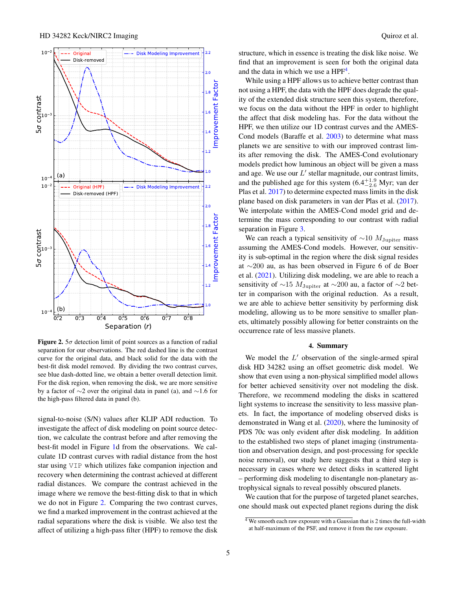

<span id="page-4-1"></span>**Figure 2.**  $5\sigma$  detection limit of point sources as a function of radial separation for our observations. The red dashed line is the contrast curve for the original data, and black solid for the data with the best-fit disk model removed. By dividing the two contrast curves, see blue dash-dotted line, we obtain a better overall detection limit. For the disk region, when removing the disk, we are more sensitive by a factor of ∼2 over the original data in panel (a), and ∼1.6 for the high-pass filtered data in panel (b).

signal-to-noise (S/N) values after KLIP ADI reduction. To investigate the affect of disk modeling on point source detection, we calculate the contrast before and after removing the best-fit model in Figure [1d](#page-2-1) from the observations. We calculate 1D contrast curves with radial distance from the host star using VIP which utilizes fake companion injection and recovery when determining the contrast achieved at different radial distances. We compare the contrast achieved in the image where we remove the best-fitting disk to that in which we do not in Figure [2.](#page-4-1) Comparing the two contrast curves, we find a marked improvement in the contrast achieved at the radial separations where the disk is visible. We also test the affect of utilizing a high-pass filter (HPF) to remove the disk structure, which in essence is treating the disk like noise. We find that an improvement is seen for both the original data and the data in which we use a  $HPF<sup>4</sup>$  $HPF<sup>4</sup>$  $HPF<sup>4</sup>$ .

While using a HPF allows us to achieve better contrast than not using a HPF, the data with the HPF does degrade the quality of the extended disk structure seen this system, therefore, we focus on the data without the HPF in order to highlight the affect that disk modeling has. For the data without the HPF, we then utilize our 1D contrast curves and the AMES-Cond models (Baraffe et al. [2003\)](#page-6-51) to determine what mass planets we are sensitive to with our improved contrast limits after removing the disk. The AMES-Cond evolutionary models predict how luminous an object will be given a mass and age. We use our  $L'$  stellar magnitude, our contrast limits, and the published age for this system  $(6.4^{+1.9}_{-2.6}$  Myr; van der Plas et al. [2017\)](#page-6-27) to determine expected mass limits in the disk plane based on disk parameters in van der Plas et al. [\(2017\)](#page-6-27). We interpolate within the AMES-Cond model grid and determine the mass corresponding to our contrast with radial separation in Figure [3.](#page-5-1)

We can reach a typical sensitivity of  $\sim$ 10  $M_{\text{Jupiter}}$  mass assuming the AMES-Cond models. However, our sensitivity is sub-optimal in the region where the disk signal resides at ∼200 au, as has been observed in Figure 6 of de Boer et al. [\(2021\)](#page-6-12). Utilizing disk modeling, we are able to reach a sensitivity of ∼15  $M_{\text{Jupiter}}$  at ∼200 au, a factor of ∼2 better in comparison with the original reduction. As a result, we are able to achieve better sensitivity by performing disk modeling, allowing us to be more sensitive to smaller planets, ultimately possibly allowing for better constraints on the occurrence rate of less massive planets.

### 4. Summary

<span id="page-4-0"></span>We model the  $L'$  observation of the single-armed spiral disk HD 34282 using an offset geometric disk model. We show that even using a non-physical simplified model allows for better achieved sensitivity over not modeling the disk. Therefore, we recommend modeling the disks in scattered light systems to increase the sensitivity to less massive planets. In fact, the importance of modeling observed disks is demonstrated in Wang et al. [\(2020\)](#page-6-6), where the luminosity of PDS 70c was only evident after disk modeling. In addition to the established two steps of planet imaging (instrumentation and observation design, and post-processing for speckle noise removal), our study here suggests that a third step is necessary in cases where we detect disks in scattered light – performing disk modeling to disentangle non-planetary astrophysical signals to reveal possibly obscured planets.

We caution that for the purpose of targeted planet searches, one should mask out expected planet regions during the disk

<span id="page-4-2"></span> $\frac{4}{4}$  We smooth each raw exposure with a Gaussian that is 2 times the full-width at half-maximum of the PSF, and remove it from the raw exposure.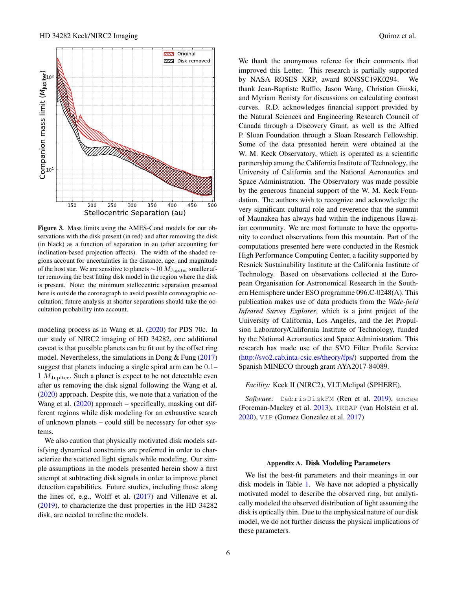

<span id="page-5-1"></span>Figure 3. Mass limits using the AMES-Cond models for our observations with the disk present (in red) and after removing the disk (in black) as a function of separation in au (after accounting for inclination-based projection affects). The width of the shaded regions account for uncertainties in the distance, age, and magnitude of the host star. We are sensitive to planets  $\sim$ 10  $M_{\text{Jupiter}}$  smaller after removing the best fitting disk model in the region where the disk is present. Note: the minimum stellocentric separation presented here is outside the coronagraph to avoid possible coronagraphic occultation; future analysis at shorter separations should take the occultation probability into account.

modeling process as in Wang et al. [\(2020\)](#page-6-6) for PDS 70c. In our study of NIRC2 imaging of HD 34282, one additional caveat is that possible planets can be fit out by the offset ring model. Nevertheless, the simulations in Dong  $&$  Fung [\(2017\)](#page-6-28) suggest that planets inducing a single spiral arm can be 0.1–  $1 M_{\text{Jupiter}}$ . Such a planet is expect to be not detectable even after us removing the disk signal following the Wang et al. [\(2020\)](#page-6-6) approach. Despite this, we note that a variation of the Wang et al. [\(2020\)](#page-6-6) approach – specifically, masking out different regions while disk modeling for an exhaustive search of unknown planets – could still be necessary for other systems.

We also caution that physically motivated disk models satisfying dynamical constraints are preferred in order to characterize the scattered light signals while modeling. Our simple assumptions in the models presented herein show a first attempt at subtracting disk signals in order to improve planet detection capabilities. Future studies, including those along the lines of, e.g., Wolff et al. [\(2017\)](#page-6-52) and Villenave et al. [\(2019\)](#page-6-53), to characterize the dust properties in the HD 34282 disk, are needed to refine the models.

We thank the anonymous referee for their comments that improved this Letter. This research is partially supported by NASA ROSES XRP, award 80NSSC19K0294. We thank Jean-Baptiste Ruffio, Jason Wang, Christian Ginski, and Myriam Benisty for discussions on calculating contrast curves. R.D. acknowledges financial support provided by the Natural Sciences and Engineering Research Council of Canada through a Discovery Grant, as well as the Alfred P. Sloan Foundation through a Sloan Research Fellowship. Some of the data presented herein were obtained at the W. M. Keck Observatory, which is operated as a scientific partnership among the California Institute of Technology, the University of California and the National Aeronautics and Space Administration. The Observatory was made possible by the generous financial support of the W. M. Keck Foundation. The authors wish to recognize and acknowledge the very significant cultural role and reverence that the summit of Maunakea has always had within the indigenous Hawaiian community. We are most fortunate to have the opportunity to conduct observations from this mountain. Part of the computations presented here were conducted in the Resnick High Performance Computing Center, a facility supported by Resnick Sustainability Institute at the California Institute of Technology. Based on observations collected at the European Organisation for Astronomical Research in the Southern Hemisphere under ESO programme 096.C-0248(A). This publication makes use of data products from the *Wide-field Infrared Survey Explorer*, which is a joint project of the University of California, Los Angeles, and the Jet Propulsion Laboratory/California Institute of Technology, funded by the National Aeronautics and Space Administration. This research has made use of the SVO Filter Profile Service [\(http://svo2.cab.inta-csic.es/theory/fps/\)](http://svo2.cab.inta-csic.es/theory/fps/) supported from the Spanish MINECO through grant AYA2017-84089.

## *Facility:* Keck II (NIRC2), VLT:Melipal (SPHERE).

*Software:* DebrisDiskFM (Ren et al. [2019\)](#page-6-32), emcee (Foreman-Mackey et al. [2013\)](#page-6-43), IRDAP (van Holstein et al. [2020\)](#page-6-34), VIP (Gomez Gonzalez et al. [2017\)](#page-6-30)

#### Appendix A. Disk Modeling Parameters

<span id="page-5-0"></span>We list the best-fit parameters and their meanings in our disk models in Table [1.](#page-7-0) We have not adopted a physically motivated model to describe the observed ring, but analytically modeled the observed distribution of light assuming the disk is optically thin. Due to the unphysical nature of our disk model, we do not further discuss the physical implications of these parameters.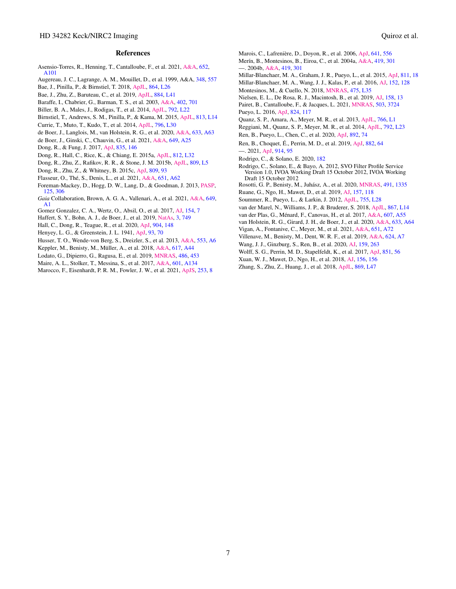### References

- <span id="page-6-13"></span>Asensio-Torres, R., Henning, T., Cantalloube, F., et al. 2021, [A&A,](http://dx.doi.org/10.1051/0004-6361/202140325) [652,](https://ui.adsabs.harvard.edu/abs/2021A&A...652A.101A) [A101](https://ui.adsabs.harvard.edu/abs/2021A&A...652A.101A)
- Augereau, J. C., Lagrange, A. M., Mouillet, D., et al. 1999, A&A, [348,](https://ui.adsabs.harvard.edu/abs/1999A&A...348..557A) [557](https://ui.adsabs.harvard.edu/abs/1999A&A...348..557A)
- <span id="page-6-42"></span>Bae, J., Pinilla, P., & Birnstiel, T. 2018, [ApJL,](http://dx.doi.org/10.3847/2041-8213/aadd51) [864,](https://ui.adsabs.harvard.edu/abs/2018ApJ...864L..26B) [L26](https://ui.adsabs.harvard.edu/abs/2018ApJ...864L..26B)
- <span id="page-6-7"></span><span id="page-6-4"></span>Bae, J., Zhu, Z., Baruteau, C., et al. 2019, [ApJL,](http://dx.doi.org/10.3847/2041-8213/ab46b0) [884,](https://ui.adsabs.harvard.edu/abs/2019ApJ...884L..41B) [L41](https://ui.adsabs.harvard.edu/abs/2019ApJ...884L..41B)
- Baraffe, I., Chabrier, G., Barman, T. S., et al. 2003, [A&A,](http://dx.doi.org/10.1051/0004-6361:20030252) [402,](https://ui.adsabs.harvard.edu/abs/2003A&A...402..701B) [701](https://ui.adsabs.harvard.edu/abs/2003A&A...402..701B)
- <span id="page-6-51"></span>Biller, B. A., Males, J., Rodigas, T., et al. 2014, [ApJL,](http://dx.doi.org/10.1088/2041-8205/792/1/L22) [792,](https://ui.adsabs.harvard.edu/abs/2014ApJ...792L..22B) [L22](https://ui.adsabs.harvard.edu/abs/2014ApJ...792L..22B)
- <span id="page-6-21"></span><span id="page-6-17"></span>Birnstiel, T., Andrews, S. M., Pinilla, P., & Kama, M. 2015, [ApJL,](http://dx.doi.org/10.1088/2041-8205/813/1/L14) [813,](https://ui.adsabs.harvard.edu/abs/2015ApJ...813L..14B) [L14](https://ui.adsabs.harvard.edu/abs/2015ApJ...813L..14B)
- <span id="page-6-15"></span>Currie, T., Muto, T., Kudo, T., et al. 2014, [ApJL,](http://dx.doi.org/10.1088/2041-8205/796/2/L30) [796,](https://ui.adsabs.harvard.edu/abs/2014ApJ...796L..30C) [L30](https://ui.adsabs.harvard.edu/abs/2014ApJ...796L..30C)
- de Boer, J., Langlois, M., van Holstein, R. G., et al. 2020, [A&A,](http://dx.doi.org/10.1051/0004-6361/201834989) [633,](https://ui.adsabs.harvard.edu/abs/2020A&A...633A..63D) [A63](https://ui.adsabs.harvard.edu/abs/2020A&A...633A..63D)
- <span id="page-6-33"></span>de Boer, J., Ginski, C., Chauvin, G., et al. 2021, [A&A,](http://dx.doi.org/10.1051/0004-6361/201936787) [649,](https://ui.adsabs.harvard.edu/abs/2021A&A...649A..25D) [A25](https://ui.adsabs.harvard.edu/abs/2021A&A...649A..25D)
- <span id="page-6-12"></span>Dong, R., & Fung, J. 2017, [ApJ,](http://dx.doi.org/10.3847/1538-4357/835/2/146) [835,](https://ui.adsabs.harvard.edu/abs/2017ApJ...835..146D) [146](https://ui.adsabs.harvard.edu/abs/2017ApJ...835..146D)
- <span id="page-6-28"></span><span id="page-6-18"></span>Dong, R., Hall, C., Rice, K., & Chiang, E. 2015a, [ApJL,](http://dx.doi.org/10.1088/2041-8205/812/2/L32) [812,](https://ui.adsabs.harvard.edu/abs/2015ApJ...812L..32D) [L32](https://ui.adsabs.harvard.edu/abs/2015ApJ...812L..32D)
- Dong, R., Zhu, Z., Rafikov, R. R., & Stone, J. M. 2015b, [ApJL,](http://dx.doi.org/10.1088/2041-8205/809/1/L5) [809,](https://ui.adsabs.harvard.edu/abs/2015ApJ...809L...5D) [L5](https://ui.adsabs.harvard.edu/abs/2015ApJ...809L...5D)
- <span id="page-6-2"></span>Dong, R., Zhu, Z., & Whitney, B. 2015c, [ApJ,](http://dx.doi.org/10.1088/0004-637X/809/1/93) [809,](https://ui.adsabs.harvard.edu/abs/2015ApJ...809...93D) [93](https://ui.adsabs.harvard.edu/abs/2015ApJ...809...93D)
- <span id="page-6-38"></span><span id="page-6-3"></span>Flasseur, O., Thé, S., Denis, L., et al. 2021, [A&A,](http://dx.doi.org/10.1051/0004-6361/202038957) [651,](https://ui.adsabs.harvard.edu/abs/2021A&A...651A..62F) [A62](https://ui.adsabs.harvard.edu/abs/2021A&A...651A..62F)
- <span id="page-6-43"></span>Foreman-Mackey, D., Hogg, D. W., Lang, D., & Goodman, J. 2013, [PASP,](http://dx.doi.org/10.1086/670067) [125,](https://ui.adsabs.harvard.edu/abs/2013PASP..125..306F) [306](https://ui.adsabs.harvard.edu/abs/2013PASP..125..306F)
- <span id="page-6-25"></span>*Gaia* Collaboration, Brown, A. G. A., Vallenari, A., et al. 2021, [A&A,](http://dx.doi.org/10.1051/0004-6361/202039657) [649,](https://ui.adsabs.harvard.edu/abs/2021A&A...649A...1G) [A1](https://ui.adsabs.harvard.edu/abs/2021A&A...649A...1G)

Gomez Gonzalez, C. A., Wertz, O., Absil, O., et al. 2017, [AJ,](http://dx.doi.org/10.3847/1538-3881/aa73d7) [154,](http://ui.adsabs.harvard.edu/abs/2017AJ....154....7G) [7](http://ui.adsabs.harvard.edu/abs/2017AJ....154....7G)

- <span id="page-6-30"></span>Haffert, S. Y., Bohn, A. J., de Boer, J., et al. 2019, [NatAs,](http://dx.doi.org/10.1038/s41550-019-0780-5) [3,](https://ui.adsabs.harvard.edu/abs/2019NatAs...3..749H) [749](https://ui.adsabs.harvard.edu/abs/2019NatAs...3..749H)
- <span id="page-6-20"></span><span id="page-6-5"></span>Hall, C., Dong, R., Teague, R., et al. 2020, [ApJ,](http://dx.doi.org/10.3847/1538-4357/abac17) [904,](https://ui.adsabs.harvard.edu/abs/2020ApJ...904..148H) [148](https://ui.adsabs.harvard.edu/abs/2020ApJ...904..148H)
- Henyey, L. G., & Greenstein, J. L. 1941, [ApJ,](http://dx.doi.org/10.1086/144246) [93,](https://ui.adsabs.harvard.edu/abs/1941ApJ....93...70H) [70](https://ui.adsabs.harvard.edu/abs/1941ApJ....93...70H)
- <span id="page-6-44"></span>Husser, T. O., Wende-von Berg, S., Dreizler, S., et al. 2013, [A&A,](http://dx.doi.org/10.1051/0004-6361/201219058) [553,](https://ui.adsabs.harvard.edu/abs/2013A&A...553A...6H) [A6](https://ui.adsabs.harvard.edu/abs/2013A&A...553A...6H)
- <span id="page-6-46"></span>Keppler, M., Benisty, M., Müller, A., et al. 2018, [A&A,](http://dx.doi.org/10.1051/0004-6361/201832957) [617,](https://ui.adsabs.harvard.edu/abs/2018A&A...617A..44K) [A44](https://ui.adsabs.harvard.edu/abs/2018A&A...617A..44K)
- <span id="page-6-24"></span><span id="page-6-9"></span>Lodato, G., Dipierro, G., Ragusa, E., et al. 2019, [MNRAS,](http://dx.doi.org/10.1093/mnras/stz913) [486,](https://ui.adsabs.harvard.edu/abs/2019MNRAS.486..453L) [453](https://ui.adsabs.harvard.edu/abs/2019MNRAS.486..453L)
- Maire, A. L., Stolker, T., Messina, S., et al. 2017, [A&A,](http://dx.doi.org/10.1051/0004-6361/201629896) [601,](https://ui.adsabs.harvard.edu/abs/2017A&A...601A.134M) [A134](https://ui.adsabs.harvard.edu/abs/2017A&A...601A.134M)
- <span id="page-6-48"></span><span id="page-6-11"></span>Marocco, F., Eisenhardt, P. R. M., Fowler, J. W., et al. 2021, [ApJS,](http://dx.doi.org/10.3847/1538-4365/abd805) [253,](https://ui.adsabs.harvard.edu/abs/2021ApJS..253....8M) [8](https://ui.adsabs.harvard.edu/abs/2021ApJS..253....8M)
- <span id="page-6-54"></span><span id="page-6-10"></span>Marois, C., Lafrenière, D., Doyon, R., et al. 2006, [ApJ,](http://dx.doi.org/10.1086/500401) [641,](https://ui.adsabs.harvard.edu/abs/2006ApJ...641..556M) [556](https://ui.adsabs.harvard.edu/abs/2006ApJ...641..556M) Merín, B., Montesinos, B., Eiroa, C., et al. 2004a, [A&A,](http://dx.doi.org/10.1051/0004-6361:20034561) [419,](https://ui.adsabs.harvard.edu/abs/2004A&A...419..301M) [301](https://ui.adsabs.harvard.edu/abs/2004A&A...419..301M)
- <span id="page-6-26"></span>—. 2004b, [A&A,](http://dx.doi.org/10.1051/0004-6361:20034561) [419,](https://ui.adsabs.harvard.edu/abs/2004A&A...419..301M) [301](https://ui.adsabs.harvard.edu/abs/2004A&A...419..301M)
- <span id="page-6-47"></span><span id="page-6-39"></span>Millar-Blanchaer, M. A., Graham, J. R., Pueyo, L., et al. 2015, [ApJ,](http://dx.doi.org/10.1088/0004-637X/811/1/18) [811,](http://ui.adsabs.harvard.edu/abs/2015ApJ...811...18M) [18](http://ui.adsabs.harvard.edu/abs/2015ApJ...811...18M) Millar-Blanchaer, M. A., Wang, J. J., Kalas, P., et al. 2016, [AJ,](http://dx.doi.org/10.3847/0004-6256/152/5/128) [152,](https://ui.adsabs.harvard.edu/abs/2016AJ....152..128M) [128](https://ui.adsabs.harvard.edu/abs/2016AJ....152..128M)
- <span id="page-6-40"></span><span id="page-6-19"></span>Montesinos, M., & Cuello, N. 2018, [MNRAS,](http://dx.doi.org/10.1093/mnrasl/sly001) [475,](https://ui.adsabs.harvard.edu/abs/2018MNRAS.475L..35M) [L35](https://ui.adsabs.harvard.edu/abs/2018MNRAS.475L..35M)
- <span id="page-6-0"></span>Nielsen, E. L., De Rosa, R. J., Macintosh, B., et al. 2019, [AJ,](http://dx.doi.org/10.3847/1538-3881/ab16e9) [158,](https://ui.adsabs.harvard.edu/abs/2019AJ....158...13N) [13](https://ui.adsabs.harvard.edu/abs/2019AJ....158...13N) Pairet, B., Cantalloube, F., & Jacques, L. 2021, [MNRAS,](http://dx.doi.org/10.1093/mnras/stab607) [503,](https://ui.adsabs.harvard.edu/abs/2021MNRAS.503.3724P) [3724](https://ui.adsabs.harvard.edu/abs/2021MNRAS.503.3724P)
- <span id="page-6-45"></span><span id="page-6-37"></span>Pueyo, L. 2016, [ApJ,](http://dx.doi.org/10.3847/0004-637X/824/2/117) [824,](https://ui.adsabs.harvard.edu/abs/2016ApJ...824..117P) [117](https://ui.adsabs.harvard.edu/abs/2016ApJ...824..117P)
- <span id="page-6-14"></span>Quanz, S. P., Amara, A., Meyer, M. R., et al. 2013, [ApJL,](http://dx.doi.org/10.1088/2041-8205/766/1/L1) [766,](https://ui.adsabs.harvard.edu/abs/2013ApJ...766L...1Q) [L1](https://ui.adsabs.harvard.edu/abs/2013ApJ...766L...1Q)
- <span id="page-6-16"></span>Reggiani, M., Quanz, S. P., Meyer, M. R., et al. 2014, [ApJL,](http://dx.doi.org/10.1088/2041-8205/792/1/L23) [792,](https://ui.adsabs.harvard.edu/abs/2014ApJ...792L..23R) [L23](https://ui.adsabs.harvard.edu/abs/2014ApJ...792L..23R) Ren, B., Pueyo, L., Chen, C., et al. 2020, [ApJ,](http://dx.doi.org/10.3847/1538-4357/ab7024) [892,](https://ui.adsabs.harvard.edu/abs/2020ApJ...892...74R) [74](https://ui.adsabs.harvard.edu/abs/2020ApJ...892...74R)
- <span id="page-6-36"></span>
- <span id="page-6-32"></span>Ren, B., Choquet, É., Perrin, M. D., et al. 2019, [ApJ,](http://dx.doi.org/10.3847/1538-4357/ab3403) [882,](https://ui.adsabs.harvard.edu/abs/2019ApJ...882...64R) [64](https://ui.adsabs.harvard.edu/abs/2019ApJ...882...64R) —. 2021, [ApJ,](http://dx.doi.org/10.3847/1538-4357/ac03b9) [914,](https://ui.adsabs.harvard.edu/abs/2021ApJ...914...95R) [95](https://ui.adsabs.harvard.edu/abs/2021ApJ...914...95R)
- <span id="page-6-41"></span>Rodrigo, C., & Solano, E. 2020, [182](https://ui.adsabs.harvard.edu/abs/2020sea..confE.182R)
- <span id="page-6-50"></span><span id="page-6-49"></span>Rodrigo, C., Solano, E., & Bayo, A. 2012, SVO Filter Profile Service Version 1.0, IVOA Working Draft 15 October 2012, IVOA Working Draft 15 October 2012
- <span id="page-6-8"></span>Rosotti, G. P., Benisty, M., Juhász, A., et al. 2020, *MNRAS*, [491,](https://ui.adsabs.harvard.edu/abs/2020MNRAS.491.1335R) [1335](https://ui.adsabs.harvard.edu/abs/2020MNRAS.491.1335R)
- <span id="page-6-35"></span>Ruane, G., Ngo, H., Mawet, D., et al. 2019, [AJ,](http://dx.doi.org/10.3847/1538-3881/aafee2) [157,](https://ui.adsabs.harvard.edu/abs/2019AJ....157..118R) [118](https://ui.adsabs.harvard.edu/abs/2019AJ....157..118R)
- Soummer, R., Pueyo, L., & Larkin, J. 2012, [ApJL,](http://dx.doi.org/10.1088/2041-8205/755/2/L28) [755,](https://ui.adsabs.harvard.edu/abs/2012ApJ...755L..28S) [L28](https://ui.adsabs.harvard.edu/abs/2012ApJ...755L..28S)
- <span id="page-6-31"></span><span id="page-6-22"></span>van der Marel, N., Williams, J. P., & Bruderer, S. 2018, [ApJL,](http://dx.doi.org/10.3847/2041-8213/aae88e) [867,](https://ui.adsabs.harvard.edu/abs/2018ApJ...867L..14V) [L14](https://ui.adsabs.harvard.edu/abs/2018ApJ...867L..14V)
- van der Plas, G., Ménard, F., Canovas, H., et al. 2017, [A&A,](http://dx.doi.org/10.1051/0004-6361/201731392) [607,](https://ui.adsabs.harvard.edu/abs/2017A&A...607A..55V) [A55](https://ui.adsabs.harvard.edu/abs/2017A&A...607A..55V)
- <span id="page-6-34"></span><span id="page-6-27"></span>van Holstein, R. G., Girard, J. H., de Boer, J., et al. 2020, [A&A,](http://dx.doi.org/10.1051/0004-6361/201834996) [633,](https://ui.adsabs.harvard.edu/abs/2020A&A...633A..64V) [A64](https://ui.adsabs.harvard.edu/abs/2020A&A...633A..64V)
- <span id="page-6-1"></span>Vigan, A., Fontanive, C., Meyer, M., et al. 2021, [A&A,](http://dx.doi.org/10.1051/0004-6361/202038107) [651,](https://ui.adsabs.harvard.edu/abs/2021A&A...651A..72V) [A72](https://ui.adsabs.harvard.edu/abs/2021A&A...651A..72V)
- <span id="page-6-55"></span>Villenave, M., Benisty, M., Dent, W. R. F., et al. 2019, [A&A,](http://dx.doi.org/10.1051/0004-6361/201834800) [624,](https://ui.adsabs.harvard.edu/abs/2019A&A...624A...7V) [A7](https://ui.adsabs.harvard.edu/abs/2019A&A...624A...7V)
- <span id="page-6-53"></span>Wang, J. J., Ginzburg, S., Ren, B., et al. 2020, [AJ,](http://dx.doi.org/10.3847/1538-3881/ab8aef) [159,](https://ui.adsabs.harvard.edu/abs/2020AJ....159..263W) [263](https://ui.adsabs.harvard.edu/abs/2020AJ....159..263W)
- <span id="page-6-52"></span><span id="page-6-6"></span>Wolff, S. G., Perrin, M. D., Stapelfeldt, K., et al. 2017, [ApJ,](http://dx.doi.org/10.3847/1538-4357/aa9981) [851,](https://ui.adsabs.harvard.edu/abs/2017ApJ...851...56W) [56](https://ui.adsabs.harvard.edu/abs/2017ApJ...851...56W)
- <span id="page-6-29"></span>Xuan, W. J., Mawet, D., Ngo, H., et al. 2018, [AJ,](http://dx.doi.org/10.3847/1538-3881/aadae6) [156,](https://ui.adsabs.harvard.edu/abs/2018AJ....156..156X) [156](https://ui.adsabs.harvard.edu/abs/2018AJ....156..156X)
- <span id="page-6-23"></span>Zhang, S., Zhu, Z., Huang, J., et al. 2018, [ApJL,](http://dx.doi.org/10.3847/2041-8213/aaf744) [869,](https://ui.adsabs.harvard.edu/abs/2018ApJ...869L..47Z) [L47](https://ui.adsabs.harvard.edu/abs/2018ApJ...869L..47Z)